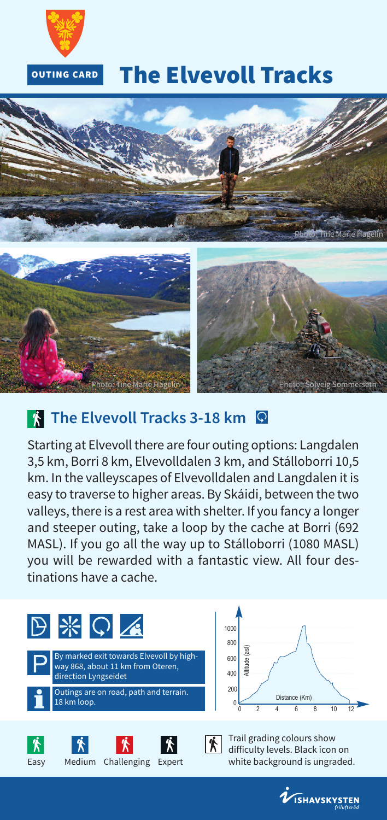

## **The Elvevoll Tracks**



## **The Elvevoll Tracks 3-18 km Q**

Starting at Elvevoll there are four outing options: Langdalen 3,5 km, Borri 8 km, Elvevolldalen 3 km, and Stálloborri 10,5 km. In the valleyscapes of Elvevolldalen and Langdalen it is easy to traverse to higher areas. By Skáidi, between the two valleys, there is a rest area with shelter. If you fancy a longer and steeper outing, take a loop by the cache at Borri (692 MASL). If you go all the way up to Stálloborri (1080 MASL) you will be rewarded with a fantastic view. All four destinations have a cache.



 $0 \t 0 \t 2 \t 4 \t 6 \t 8 \t 10 \t 12$ 400  $200$ con 800 1000 Altitude (asl) Distance (Km)

Trail grading colours show difficulty levels. Black icon on